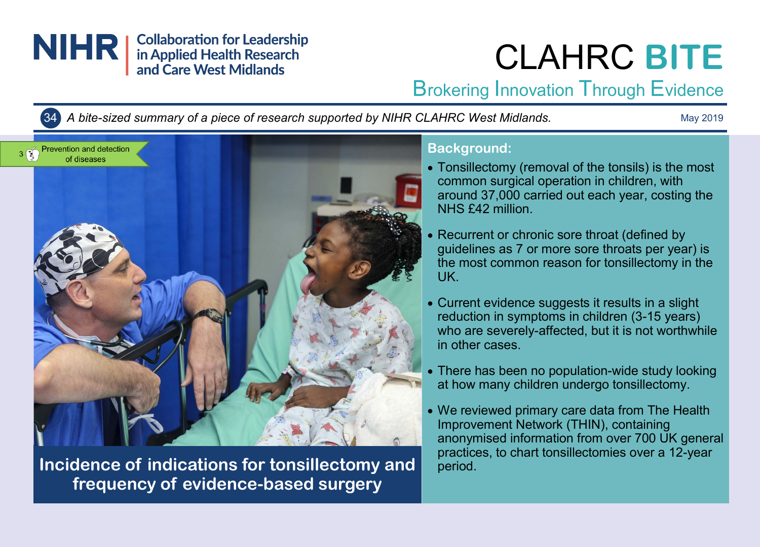

# CLAHRC **BITE**

Brokering Innovation Through Evidence

34 *A bite-sized summary of a piece of research supported by NIHR CLAHRC West Midlands.*

May 2019



**Incidence of indications for tonsillectomy and period. frequency of evidence-based surgery**

# **Background:**

- Tonsillectomy (removal of the tonsils) is the most common surgical operation in children, with around 37,000 carried out each year, costing the NHS £42 million.
- Recurrent or chronic sore throat (defined by guidelines as 7 or more sore throats per year) is the most common reason for tonsillectomy in the UK.
- Current evidence suggests it results in a slight reduction in symptoms in children (3-15 years) who are severely-affected, but it is not worthwhile in other cases.
- There has been no population-wide study looking at how many children undergo tonsillectomy.
- We reviewed primary care data from The Health Improvement Network (THIN), containing anonymised information from over 700 UK general practices, to chart tonsillectomies over a 12-year